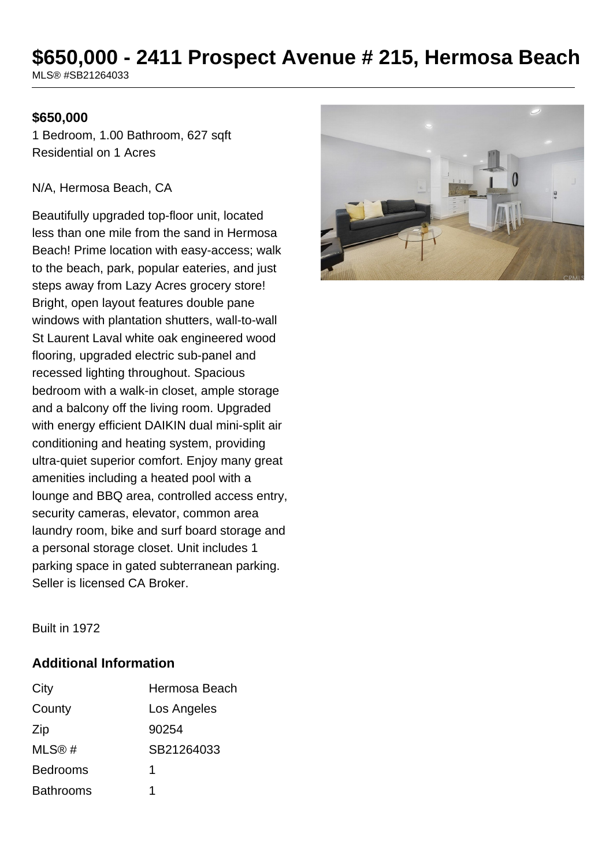# **\$650,000 - 2411 Prospect Avenue # 215, Hermosa Beach**

MLS® #SB21264033

## **\$650,000**

1 Bedroom, 1.00 Bathroom, 627 sqft Residential on 1 Acres

#### N/A, Hermosa Beach, CA

Beautifully upgraded top-floor unit, located less than one mile from the sand in Hermosa Beach! Prime location with easy-access; walk to the beach, park, popular eateries, and just steps away from Lazy Acres grocery store! Bright, open layout features double pane windows with plantation shutters, wall-to-wall St Laurent Laval white oak engineered wood flooring, upgraded electric sub-panel and recessed lighting throughout. Spacious bedroom with a walk-in closet, ample storage and a balcony off the living room. Upgraded with energy efficient DAIKIN dual mini-split air conditioning and heating system, providing ultra-quiet superior comfort. Enjoy many great amenities including a heated pool with a lounge and BBQ area, controlled access entry, security cameras, elevator, common area laundry room, bike and surf board storage and a personal storage closet. Unit includes 1 parking space in gated subterranean parking. Seller is licensed CA Broker.



Built in 1972

### **Additional Information**

| City             | Hermosa Beach |
|------------------|---------------|
| County           | Los Angeles   |
| Zip              | 90254         |
| MLS@#            | SB21264033    |
| <b>Bedrooms</b>  | 1             |
| <b>Bathrooms</b> | 1             |